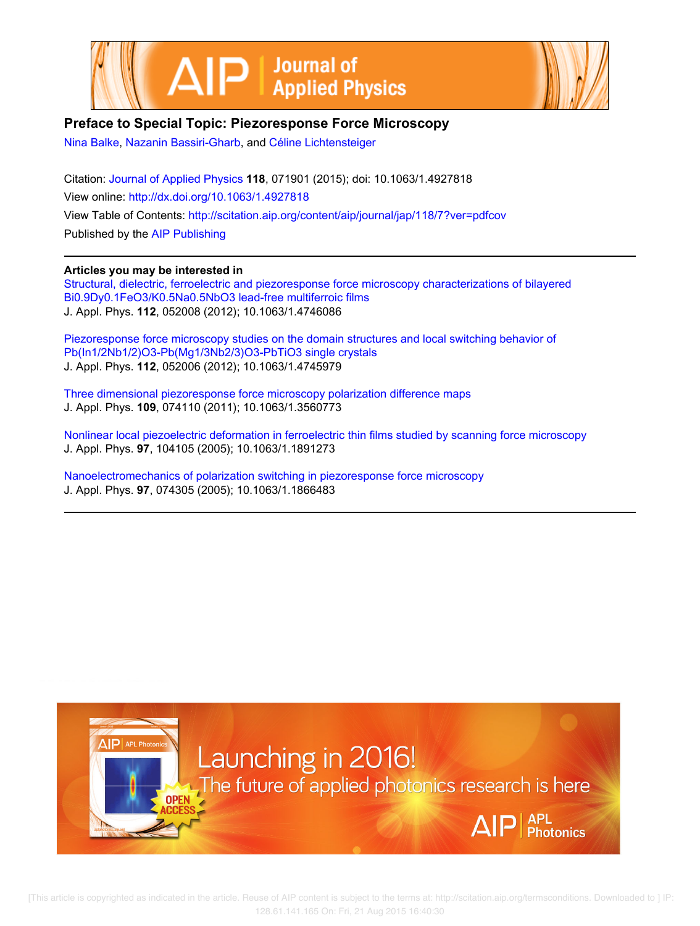



## Preface to Special Topic: Piezoresponse Force Microscopy

[Nina Balke](http://scitation.aip.org/search?value1=Nina+Balke&option1=author), [Nazanin Bassiri-Gharb](http://scitation.aip.org/search?value1=Nazanin+Bassiri-Gharb&option1=author), and Céline Lichtensteiger

Citation: [Journal of Applied Physics](http://scitation.aip.org/content/aip/journal/jap?ver=pdfcov) 118, 071901 (2015); doi: 10.1063/1.4927818 View online: <http://dx.doi.org/10.1063/1.4927818> View Table of Contents: <http://scitation.aip.org/content/aip/journal/jap/118/7?ver=pdfcov> Published by the [AIP Publishing](http://scitation.aip.org/content/aip?ver=pdfcov)

Articles you may be interested in [Structural, dielectric, ferroelectric and piezoresponse force microscopy characterizations of bilayered](http://scitation.aip.org/content/aip/journal/jap/112/5/10.1063/1.4746086?ver=pdfcov) [Bi0.9Dy0.1FeO3/K0.5Na0.5NbO3 lead-free multiferroic films](http://scitation.aip.org/content/aip/journal/jap/112/5/10.1063/1.4746086?ver=pdfcov)

J. Appl. Phys. 112, 052008 (2012); 10.1063/1.4746086

[Piezoresponse force microscopy studies on the domain structures and local switching behavior of](http://scitation.aip.org/content/aip/journal/jap/112/5/10.1063/1.4745979?ver=pdfcov) [Pb\(In1/2Nb1/2\)O3-Pb\(Mg1/3Nb2/3\)O3-PbTiO3 single crystals](http://scitation.aip.org/content/aip/journal/jap/112/5/10.1063/1.4745979?ver=pdfcov) J. Appl. Phys. 112, 052006 (2012); 10.1063/1.4745979

[Three dimensional piezoresponse force microscopy polarization difference maps](http://scitation.aip.org/content/aip/journal/jap/109/7/10.1063/1.3560773?ver=pdfcov) J. Appl. Phys. 109, 074110 (2011); 10.1063/1.3560773

[Nonlinear local piezoelectric deformation in ferroelectric thin films studied by scanning force microscopy](http://scitation.aip.org/content/aip/journal/jap/97/10/10.1063/1.1891273?ver=pdfcov) J. Appl. Phys. 97, 104105 (2005); 10.1063/1.1891273

[Nanoelectromechanics of polarization switching in piezoresponse force microscopy](http://scitation.aip.org/content/aip/journal/jap/97/7/10.1063/1.1866483?ver=pdfcov) J. Appl. Phys. 97, 074305 (2005); 10.1063/1.1866483



 [This article is copyrighted as indicated in the article. Reuse of AIP content is subject to the terms at: http://scitation.aip.org/termsconditions. Downloaded to ] IP: 128.61.141.165 On: Fri, 21 Aug 2015 16:40:30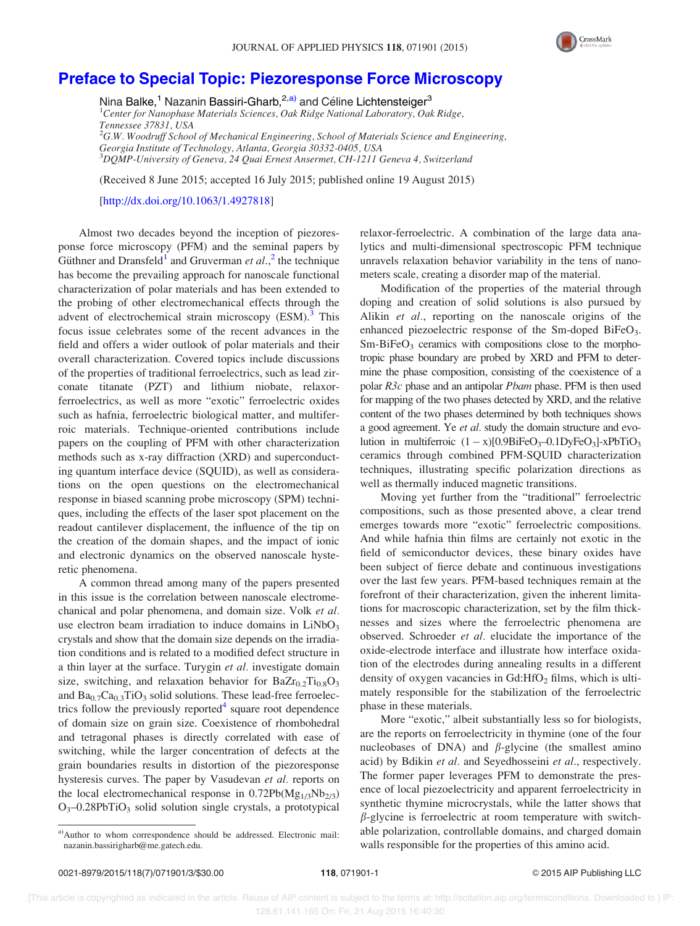

## [Preface to Special Topic: Piezoresponse Force Microscopy](http://dx.doi.org/10.1063/1.4927818)

Nina Balke,<sup>1</sup> Nazanin Bassiri-Gharb,<sup>2,a)</sup> and Céline Lichtensteiger<sup>3</sup>

<sup>1</sup>Center for Nanophase Materials Sciences, Oak Ridge National Laboratory, Oak Ridge, Tennessee 37831, USA  ${}^{2}$ G.W. Woodruff School of Mechanical Engineering, School of Materials Science and Engineering,

Georgia Institute of Technology, Atlanta, Georgia 30332-0405, USA 3 DQMP-University of Geneva, 24 Quai Ernest Ansermet, CH-1211 Geneva 4, Switzerland

(Received 8 June 2015; accepted 16 July 2015; published online 19 August 2015)

[\[http://dx.doi.org/10.1063/1.4927818](http://dx.doi.org/10.1063/1.4927818)]

Almost two decades beyond the inception of piezoresponse force microscopy (PFM) and the seminal papers by Güthner and Dransfeld<sup>[1](#page-3-0)</sup> and Gruverman et  $al$ <sup>[2](#page-3-0)</sup>, the technique has become the prevailing approach for nanoscale functional characterization of polar materials and has been extended to the probing of other electromechanical effects through the advent of electrochemical strain microscopy  $(ESM)<sup>3</sup>$  $(ESM)<sup>3</sup>$  $(ESM)<sup>3</sup>$  This focus issue celebrates some of the recent advances in the field and offers a wider outlook of polar materials and their overall characterization. Covered topics include discussions of the properties of traditional ferroelectrics, such as lead zirconate titanate (PZT) and lithium niobate, relaxorferroelectrics, as well as more "exotic" ferroelectric oxides such as hafnia, ferroelectric biological matter, and multiferroic materials. Technique-oriented contributions include papers on the coupling of PFM with other characterization methods such as x-ray diffraction (XRD) and superconducting quantum interface device (SQUID), as well as considerations on the open questions on the electromechanical response in biased scanning probe microscopy (SPM) techniques, including the effects of the laser spot placement on the readout cantilever displacement, the influence of the tip on the creation of the domain shapes, and the impact of ionic and electronic dynamics on the observed nanoscale hysteretic phenomena.

A common thread among many of the papers presented in this issue is the correlation between nanoscale electromechanical and polar phenomena, and domain size. Volk et al. use electron beam irradiation to induce domains in  $LiNbO<sub>3</sub>$ crystals and show that the domain size depends on the irradiation conditions and is related to a modified defect structure in a thin layer at the surface. Turygin et al. investigate domain size, switching, and relaxation behavior for  $BaZr_{0.2}Ti_{0.8}O_3$ and  $Ba_{0.7}Ca_{0.3}TiO_3$  solid solutions. These lead-free ferroelectrics follow the previously reported $4$  square root dependence of domain size on grain size. Coexistence of rhombohedral and tetragonal phases is directly correlated with ease of switching, while the larger concentration of defects at the grain boundaries results in distortion of the piezoresponse hysteresis curves. The paper by Vasudevan et al. reports on the local electromechanical response in  $0.72Pb(Mg_{1/3}Nb_{2/3})$  $O_3$ –0.28PbTi $O_3$  solid solution single crystals, a prototypical

relaxor-ferroelectric. A combination of the large data analytics and multi-dimensional spectroscopic PFM technique unravels relaxation behavior variability in the tens of nanometers scale, creating a disorder map of the material.

Modification of the properties of the material through doping and creation of solid solutions is also pursued by Alikin et al., reporting on the nanoscale origins of the enhanced piezoelectric response of the Sm-doped BiFeO<sub>3</sub>.  $Sm-BiFeO<sub>3</sub>$  ceramics with compositions close to the morphotropic phase boundary are probed by XRD and PFM to determine the phase composition, consisting of the coexistence of a polar R3c phase and an antipolar Pbam phase. PFM is then used for mapping of the two phases detected by XRD, and the relative content of the two phases determined by both techniques shows a good agreement. Ye et al. study the domain structure and evolution in multiferroic  $(1 - x)[0.9BiFeO<sub>3</sub> - 0.1DyFeO<sub>3</sub>]$ -xPbTiO<sub>3</sub> ceramics through combined PFM-SQUID characterization techniques, illustrating specific polarization directions as well as thermally induced magnetic transitions.

Moving yet further from the "traditional" ferroelectric compositions, such as those presented above, a clear trend emerges towards more "exotic" ferroelectric compositions. And while hafnia thin films are certainly not exotic in the field of semiconductor devices, these binary oxides have been subject of fierce debate and continuous investigations over the last few years. PFM-based techniques remain at the forefront of their characterization, given the inherent limitations for macroscopic characterization, set by the film thicknesses and sizes where the ferroelectric phenomena are observed. Schroeder et al. elucidate the importance of the oxide-electrode interface and illustrate how interface oxidation of the electrodes during annealing results in a different density of oxygen vacancies in  $Gd:$  HfO<sub>2</sub> films, which is ultimately responsible for the stabilization of the ferroelectric phase in these materials.

More "exotic," albeit substantially less so for biologists, are the reports on ferroelectricity in thymine (one of the four nucleobases of DNA) and  $\beta$ -glycine (the smallest amino acid) by Bdikin et al. and Seyedhosseini et al., respectively. The former paper leverages PFM to demonstrate the presence of local piezoelectricity and apparent ferroelectricity in synthetic thymine microcrystals, while the latter shows that  $\beta$ -glycine is ferroelectric at room temperature with switchable polarization, controllable domains, and charged domain walls responsible for the properties of this amino acid.

a)Author to whom correspondence should be addressed. Electronic mail: [nazanin.bassirigharb@me.gatech.edu](mailto:nazanin.bassirigharb@me.gatech.edu).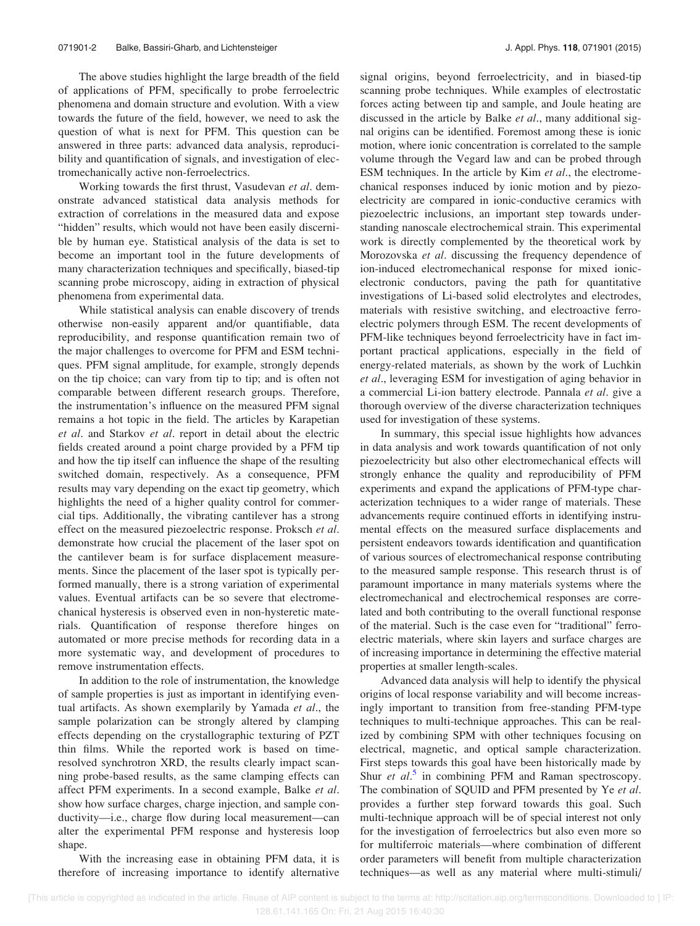The above studies highlight the large breadth of the field of applications of PFM, specifically to probe ferroelectric phenomena and domain structure and evolution. With a view towards the future of the field, however, we need to ask the question of what is next for PFM. This question can be answered in three parts: advanced data analysis, reproducibility and quantification of signals, and investigation of electromechanically active non-ferroelectrics.

Working towards the first thrust, Vasudevan et al. demonstrate advanced statistical data analysis methods for extraction of correlations in the measured data and expose "hidden" results, which would not have been easily discernible by human eye. Statistical analysis of the data is set to become an important tool in the future developments of many characterization techniques and specifically, biased-tip scanning probe microscopy, aiding in extraction of physical phenomena from experimental data.

While statistical analysis can enable discovery of trends otherwise non-easily apparent and/or quantifiable, data reproducibility, and response quantification remain two of the major challenges to overcome for PFM and ESM techniques. PFM signal amplitude, for example, strongly depends on the tip choice; can vary from tip to tip; and is often not comparable between different research groups. Therefore, the instrumentation's influence on the measured PFM signal remains a hot topic in the field. The articles by Karapetian et al. and Starkov et al. report in detail about the electric fields created around a point charge provided by a PFM tip and how the tip itself can influence the shape of the resulting switched domain, respectively. As a consequence, PFM results may vary depending on the exact tip geometry, which highlights the need of a higher quality control for commercial tips. Additionally, the vibrating cantilever has a strong effect on the measured piezoelectric response. Proksch et al. demonstrate how crucial the placement of the laser spot on the cantilever beam is for surface displacement measurements. Since the placement of the laser spot is typically performed manually, there is a strong variation of experimental values. Eventual artifacts can be so severe that electromechanical hysteresis is observed even in non-hysteretic materials. Quantification of response therefore hinges on automated or more precise methods for recording data in a more systematic way, and development of procedures to remove instrumentation effects.

In addition to the role of instrumentation, the knowledge of sample properties is just as important in identifying eventual artifacts. As shown exemplarily by Yamada et al., the sample polarization can be strongly altered by clamping effects depending on the crystallographic texturing of PZT thin films. While the reported work is based on timeresolved synchrotron XRD, the results clearly impact scanning probe-based results, as the same clamping effects can affect PFM experiments. In a second example, Balke et al. show how surface charges, charge injection, and sample conductivity—i.e., charge flow during local measurement—can alter the experimental PFM response and hysteresis loop shape.

With the increasing ease in obtaining PFM data, it is therefore of increasing importance to identify alternative signal origins, beyond ferroelectricity, and in biased-tip scanning probe techniques. While examples of electrostatic forces acting between tip and sample, and Joule heating are discussed in the article by Balke et al., many additional signal origins can be identified. Foremost among these is ionic motion, where ionic concentration is correlated to the sample volume through the Vegard law and can be probed through ESM techniques. In the article by Kim et al., the electromechanical responses induced by ionic motion and by piezoelectricity are compared in ionic-conductive ceramics with piezoelectric inclusions, an important step towards understanding nanoscale electrochemical strain. This experimental work is directly complemented by the theoretical work by Morozovska et al. discussing the frequency dependence of ion-induced electromechanical response for mixed ionicelectronic conductors, paving the path for quantitative investigations of Li-based solid electrolytes and electrodes, materials with resistive switching, and electroactive ferroelectric polymers through ESM. The recent developments of PFM-like techniques beyond ferroelectricity have in fact important practical applications, especially in the field of energy-related materials, as shown by the work of Luchkin et al., leveraging ESM for investigation of aging behavior in a commercial Li-ion battery electrode. Pannala et al. give a thorough overview of the diverse characterization techniques used for investigation of these systems.

In summary, this special issue highlights how advances in data analysis and work towards quantification of not only piezoelectricity but also other electromechanical effects will strongly enhance the quality and reproducibility of PFM experiments and expand the applications of PFM-type characterization techniques to a wider range of materials. These advancements require continued efforts in identifying instrumental effects on the measured surface displacements and persistent endeavors towards identification and quantification of various sources of electromechanical response contributing to the measured sample response. This research thrust is of paramount importance in many materials systems where the electromechanical and electrochemical responses are correlated and both contributing to the overall functional response of the material. Such is the case even for "traditional" ferroelectric materials, where skin layers and surface charges are of increasing importance in determining the effective material properties at smaller length-scales.

Advanced data analysis will help to identify the physical origins of local response variability and will become increasingly important to transition from free-standing PFM-type techniques to multi-technique approaches. This can be realized by combining SPM with other techniques focusing on electrical, magnetic, and optical sample characterization. First steps towards this goal have been historically made by Shur et  $al$ <sup>[5](#page-3-0)</sup> in combining PFM and Raman spectroscopy. The combination of SQUID and PFM presented by Ye et al. provides a further step forward towards this goal. Such multi-technique approach will be of special interest not only for the investigation of ferroelectrics but also even more so for multiferroic materials—where combination of different order parameters will benefit from multiple characterization techniques—as well as any material where multi-stimuli/